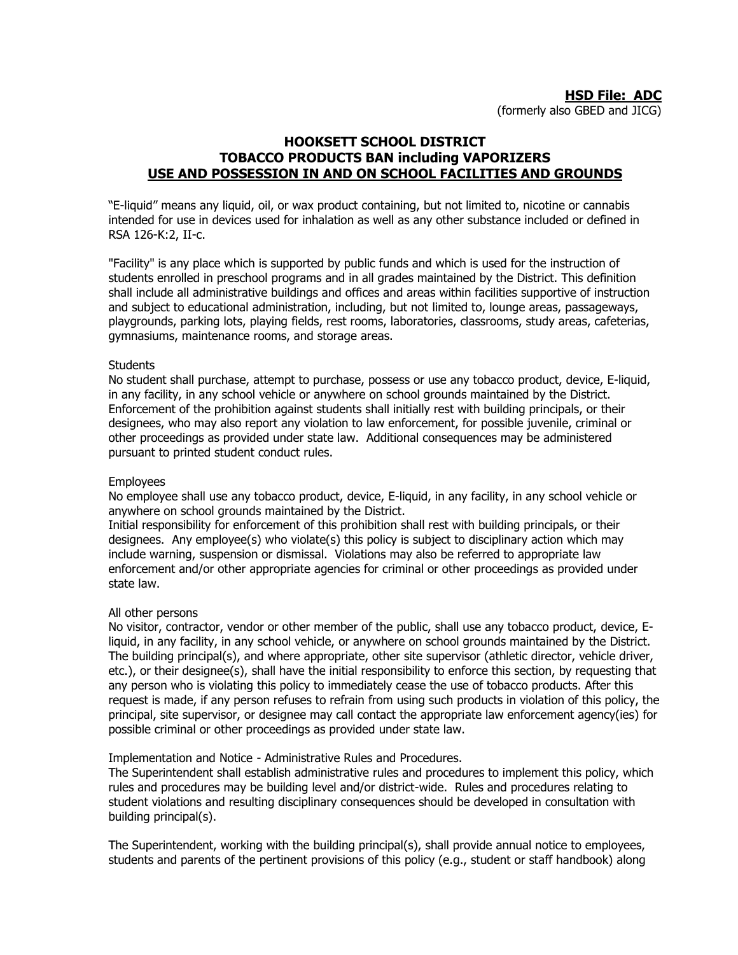## **HOOKSETT SCHOOL DISTRICT TOBACCO PRODUCTS BAN including VAPORIZERS USE AND POSSESSION IN AND ON SCHOOL FACILITIES AND GROUNDS**

"E-liquid" means any liquid, oil, or wax product containing, but not limited to, nicotine or cannabis intended for use in devices used for inhalation as well as any other substance included or defined in RSA 126-K:2, II-c.

"Facility" is any place which is supported by public funds and which is used for the instruction of students enrolled in preschool programs and in all grades maintained by the District. This definition shall include all administrative buildings and offices and areas within facilities supportive of instruction and subject to educational administration, including, but not limited to, lounge areas, passageways, playgrounds, parking lots, playing fields, rest rooms, laboratories, classrooms, study areas, cafeterias, gymnasiums, maintenance rooms, and storage areas.

## **Students**

No student shall purchase, attempt to purchase, possess or use any tobacco product, device, E-liquid, in any facility, in any school vehicle or anywhere on school grounds maintained by the District. Enforcement of the prohibition against students shall initially rest with building principals, or their designees, who may also report any violation to law enforcement, for possible juvenile, criminal or other proceedings as provided under state law. Additional consequences may be administered pursuant to printed student conduct rules.

## Employees

No employee shall use any tobacco product, device, E-liquid, in any facility, in any school vehicle or anywhere on school grounds maintained by the District.

Initial responsibility for enforcement of this prohibition shall rest with building principals, or their designees. Any employee(s) who violate(s) this policy is subject to disciplinary action which may include warning, suspension or dismissal. Violations may also be referred to appropriate law enforcement and/or other appropriate agencies for criminal or other proceedings as provided under state law.

## All other persons

No visitor, contractor, vendor or other member of the public, shall use any tobacco product, device, Eliquid, in any facility, in any school vehicle, or anywhere on school grounds maintained by the District. The building principal(s), and where appropriate, other site supervisor (athletic director, vehicle driver, etc.), or their designee(s), shall have the initial responsibility to enforce this section, by requesting that any person who is violating this policy to immediately cease the use of tobacco products. After this request is made, if any person refuses to refrain from using such products in violation of this policy, the principal, site supervisor, or designee may call contact the appropriate law enforcement agency(ies) for possible criminal or other proceedings as provided under state law.

Implementation and Notice - Administrative Rules and Procedures.

The Superintendent shall establish administrative rules and procedures to implement this policy, which rules and procedures may be building level and/or district-wide. Rules and procedures relating to student violations and resulting disciplinary consequences should be developed in consultation with building principal(s).

The Superintendent, working with the building principal(s), shall provide annual notice to employees, students and parents of the pertinent provisions of this policy (e.g., student or staff handbook) along